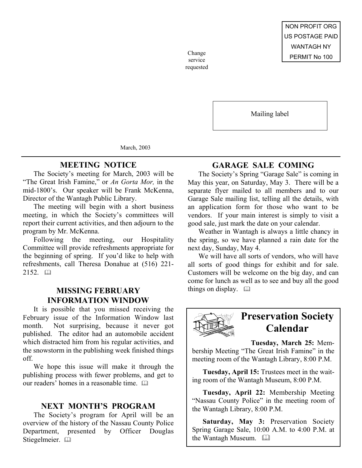service requested

Mailing label

March, 2003

## **MEETING NOTICE**

The Society's meeting for March, 2003 will be "The Great Irish Famine," or *An Gorta Mor,* in the mid-1800's. Our speaker will be Frank McKenna, Director of the Wantagh Public Library.

The meeting will begin with a short business meeting, in which the Society's committees will report their current activities, and then adjourn to the program by Mr. McKenna.

Following the meeting, our Hospitality Committee will provide refreshments appropriate for the beginning of spring. If you'd like to help with refreshments, call Theresa Donahue at (516) 221-  $2152.$   $\Box$ 

## **MISSING FEBRUARY** things on display.  $\Box$ **INFORMATION WINDOW**

It is possible that you missed receiving the February issue of the Information Window last month. Not surprising, because it never got published. The editor had an automobile accident which distracted him from his regular activities, and the snowstorm in the publishing week finished things off.

We hope this issue will make it through the publishing process with fewer problems, and get to our readers' homes in a reasonable time. 

### **NEXT MONTH'S PROGRAM**

The Society's program for April will be an overview of the history of the Nassau County Police Department, presented by Officer Douglas Stiegelmeier. El

## **GARAGE SALE COMING**

The Society's Spring "Garage Sale" is coming in May this year, on Saturday, May 3. There will be a separate flyer mailed to all members and to our Garage Sale mailing list, telling all the details, with an application form for those who want to be vendors. If your main interest is simply to visit a good sale, just mark the date on your calendar.

Weather in Wantagh is always a little chancy in the spring, so we have planned a rain date for the next day, Sunday, May 4.

We will have all sorts of vendors, who will have all sorts of good things for exhibit and for sale. Customers will be welcome on the big day, and can come for lunch as well as to see and buy all the good



# **Preservation Society Calendar**

**Tuesday, March 25:** Membership Meeting "The Great Irish Famine" in the meeting room of the Wantagh Library, 8:00 P.M.

**Tuesday, April 15:** Trustees meet in the waiting room of the Wantagh Museum, 8:00 P.M.

**Tuesday, April 22:** Membership Meeting "Nassau County Police" in the meeting room of the Wantagh Library, 8:00 P.M.

**Saturday, May 3:** Preservation Society Spring Garage Sale, 10:00 A.M. to 4:00 P.M. at the Wantagh Museum.